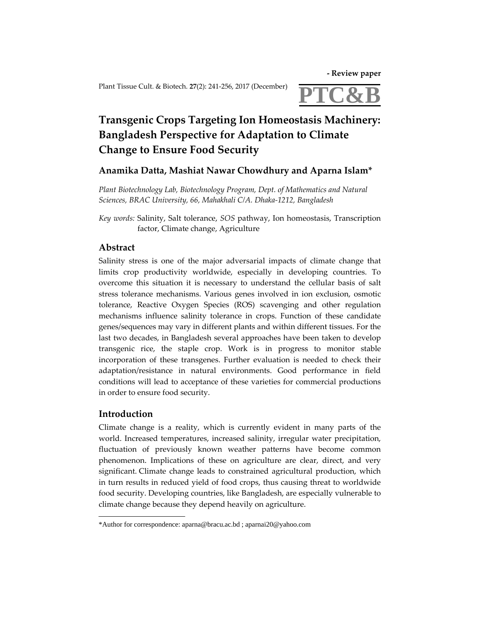**‐ Review paper**

Plant Tissue Cult. & Biotech. 27(2): 241-256, 2017 (December)



# **Transgenic Crops Targeting Ion Homeostasis Machinery: Bangladesh Perspective for Adaptation to Climate Change to Ensure Food Security**

# **Anamika Datta, Mashiat Nawar Chowdhury and Aparna Islam\***

*Plant Biotechnology Lab, Biotechnology Program, Dept. of Mathematics and Natural Sciences, BRAC University, 66, Mahakhali C/A. Dhaka‐1212, Bangladesh*

*Key words:* Salinity, Salt tolerance, *SOS* pathway, Ion homeostasis, Transcription factor, Climate change, Agriculture

# **Abstract**

Salinity stress is one of the major adversarial impacts of climate change that limits crop productivity worldwide, especially in developing countries. To overcome this situation it is necessary to understand the cellular basis of salt stress tolerance mechanisms. Various genes involved in ion exclusion, osmotic tolerance, Reactive Oxygen Species (ROS) scavenging and other regulation mechanisms influence salinity tolerance in crops. Function of these candidate genes/sequences may vary in different plants and within different tissues. For the last two decades, in Bangladesh several approaches have been taken to develop transgenic rice, the staple crop. Work is in progress to monitor stable incorporation of these transgenes. Further evaluation is needed to check their adaptation/resistance in natural environments. Good performance in field conditions will lead to acceptance of these varieties for commercial productions in order to ensure food security.

# **Introduction**

Climate change is a reality, which is currently evident in many parts of the world. Increased temperatures, increased salinity, irregular water precipitation, fluctuation of previously known weather patterns have become common phenomenon. Implications of these on agriculture are clear, direct, and very significant. Climate change leads to constrained agricultural production, which in turn results in reduced yield of food crops, thus causing threat to worldwide food security. Developing countries, like Bangladesh, are especially vulnerable to climate change because they depend heavily on agriculture.

<sup>\*</sup>Author for correspondence: aparna@bracu.ac.bd ; aparnai20@yahoo.com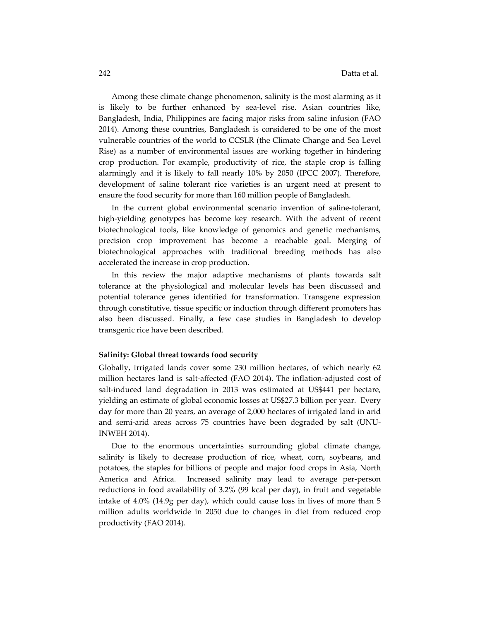Among these climate change phenomenon, salinity is the most alarming as it is likely to be further enhanced by sea-level rise. Asian countries like, Bangladesh, India, Philippines are facing major risks from saline infusion (FAO 2014). Among these countries, Bangladesh is considered to be one of the most vulnerable countries of the world to CCSLR (the Climate Change and Sea Level Rise) as a number of environmental issues are working together in hindering crop production. For example, productivity of rice, the staple crop is falling alarmingly and it is likely to fall nearly 10% by 2050 (IPCC 2007). Therefore, development of saline tolerant rice varieties is an urgent need at present to ensure the food security for more than 160 million people of Bangladesh.

In the current global environmental scenario invention of saline-tolerant, high-yielding genotypes has become key research. With the advent of recent biotechnological tools, like knowledge of genomics and genetic mechanisms, precision crop improvement has become a reachable goal. Merging of biotechnological approaches with traditional breeding methods has also accelerated the increase in crop production.

In this review the major adaptive mechanisms of plants towards salt tolerance at the physiological and molecular levels has been discussed and potential tolerance genes identified for transformation. Transgene expression through constitutive, tissue specific or induction through different promoters has also been discussed. Finally, a few case studies in Bangladesh to develop transgenic rice have been described.

#### **Salinity: Global threat towards food security**

Globally, irrigated lands cover some 230 million hectares, of which nearly 62 million hectares land is salt-affected (FAO 2014). The inflation-adjusted cost of salt-induced land degradation in 2013 was estimated at US\$441 per hectare, yielding an estimate of global economic losses at US\$27.3 billion per year. Every day for more than 20 years, an average of 2,000 hectares of irrigated land in arid and semi‐arid areas across 75 countries have been degraded by salt (UNU‐ INWEH 2014).

Due to the enormous uncertainties surrounding global climate change, salinity is likely to decrease production of rice, wheat, corn, soybeans, and potatoes, the staples for billions of people and major food crops in Asia, North America and Africa. Increased salinity may lead to average per-person reductions in food availability of 3.2% (99 kcal per day), in fruit and vegetable intake of 4.0% (14.9g per day), which could cause loss in lives of more than 5 million adults worldwide in 2050 due to changes in diet from reduced crop productivity (FAO 2014).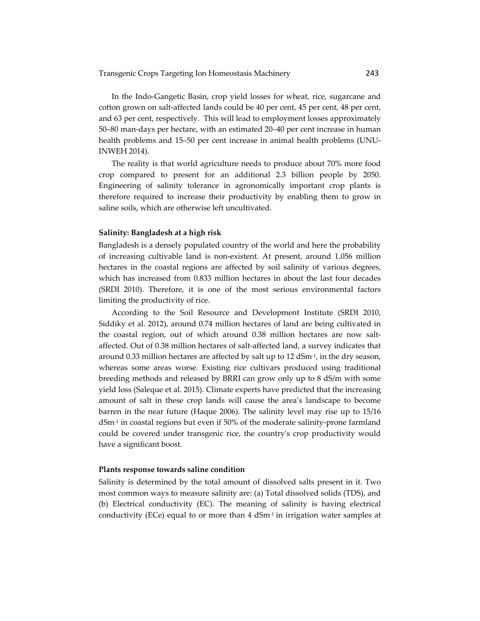In the Indo‐Gangetic Basin, crop yield losses for wheat, rice, sugarcane and cotton grown on salt‐affected lands could be 40 per cent, 45 per cent, 48 per cent, and 63 per cent, respectively. This will lead to employment losses approximately 50–80 man‐days per hectare, with an estimated 20–40 per cent increase in human health problems and 15–50 per cent increase in animal health problems (UNU‐ INWEH 2014).

The reality is that world agriculture needs to produce about 70% more food crop compared to present for an additional 2.3 billion people by 2050. Engineering of salinity tolerance in agronomically important crop plants is therefore required to increase their productivity by enabling them to grow in saline soils, which are otherwise left uncultivated.

# **Salinity: Bangladesh at a high risk**

Bangladesh is a densely populated country of the world and here the probability of increasing cultivable land is non‐existent. At present, around 1.056 million hectares in the coastal regions are affected by soil salinity of various degrees, which has increased from 0.833 million hectares in about the last four decades (SRDI 2010). Therefore, it is one of the most serious environmental factors limiting the productivity of rice.

According to the Soil Resource and Development Institute (SRDI 2010, Siddiky et al. 2012), around 0.74 million hectares of land are being cultivated in the coastal region, out of which around 0.38 million hectares are now salt‐ affected. Out of 0.38 million hectares of salt‐affected land, a survey indicates that around 0.33 million hectares are affected by salt up to  $12$  dSm<sup>-1</sup>, in the dry season, whereas some areas worse. Existing rice cultivars produced using traditional breeding methods and released by BRRI can grow only up to 8 dS/m with some yield loss (Saleque et al. 2015). Climate experts have predicted that the increasing amount of salt in these crop lands will cause the area's landscape to become barren in the near future (Haque 2006). The salinity level may rise up to 15/16 dSm<sup>-1</sup> in coastal regions but even if 50% of the moderate salinity-prone farmland could be covered under transgenic rice, the countryʹs crop productivity would have a significant boost.

### **Plants response towards saline condition**

Salinity is determined by the total amount of dissolved salts present in it. Two most common ways to measure salinity are: (a) Total dissolved solids (TDS), and (b) Electrical conductivity (EC). The meaning of salinity is having electrical conductivity (ECe) equal to or more than  $4 \text{ dSm}^{-1}$  in irrigation water samples at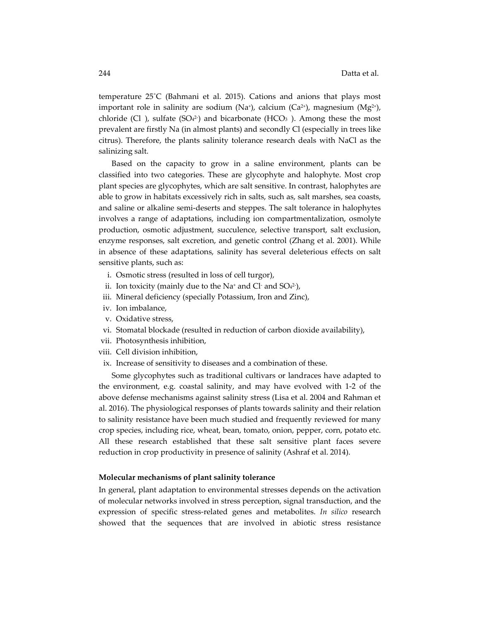temperature 25˚C (Bahmani et al. 2015). Cations and anions that plays most important role in salinity are sodium (Na<sup>+</sup>), calcium (Ca<sup>2+</sup>), magnesium (Mg<sup>2+</sup>), chloride (Cl), sulfate (SO4<sup>2</sup>) and bicarbonate (HCO<sub>3</sub>). Among these the most prevalent are firstly Na (in almost plants) and secondly Cl (especially in trees like citrus). Therefore, the plants salinity tolerance research deals with NaCl as the salinizing salt.

Based on the capacity to grow in a saline environment, plants can be classified into two categories. These are glycophyte and halophyte. Most crop plant species are glycophytes, which are salt sensitive. In contrast, halophytes are able to grow in habitats excessively rich in salts, such as, salt marshes, sea coasts, and saline or alkaline semi‐deserts and steppes. The salt tolerance in halophytes involves a range of adaptations, including ion compartmentalization, osmolyte production, osmotic adjustment, succulence, selective transport, salt exclusion, enzyme responses, salt excretion, and genetic control (Zhang et al. 2001). While in absence of these adaptations, salinity has several deleterious effects on salt sensitive plants, such as:

- i. Osmotic stress (resulted in loss of cell turgor),
- ii. Ion toxicity (mainly due to the Na<sup>+</sup> and Cl<sup>-</sup> and SO4<sup>2-</sup>),
- iii. Mineral deficiency (specially Potassium, Iron and Zinc),
- iv. Ion imbalance,
- v. Oxidative stress,
- vi. Stomatal blockade (resulted in reduction of carbon dioxide availability),
- vii. Photosynthesis inhibition,
- viii. Cell division inhibition,
- ix. Increase of sensitivity to diseases and a combination of these.

Some glycophytes such as traditional cultivars or landraces have adapted to the environment, e.g. coastal salinity, and may have evolved with 1‐2 of the above defense mechanisms against salinity stress (Lisa et al. 2004 and Rahman et al. 2016). The physiological responses of plants towards salinity and their relation to salinity resistance have been much studied and frequently reviewed for many crop species, including rice, wheat, bean, tomato, onion, pepper, corn, potato etc. All these research established that these salt sensitive plant faces severe reduction in crop productivity in presence of salinity (Ashraf et al. 2014).

### **Molecular mechanisms of plant salinity tolerance**

In general, plant adaptation to environmental stresses depends on the activation of molecular networks involved in stress perception, signal transduction, and the expression of specific stress‐related genes and metabolites. *In silico* research showed that the sequences that are involved in abiotic stress resistance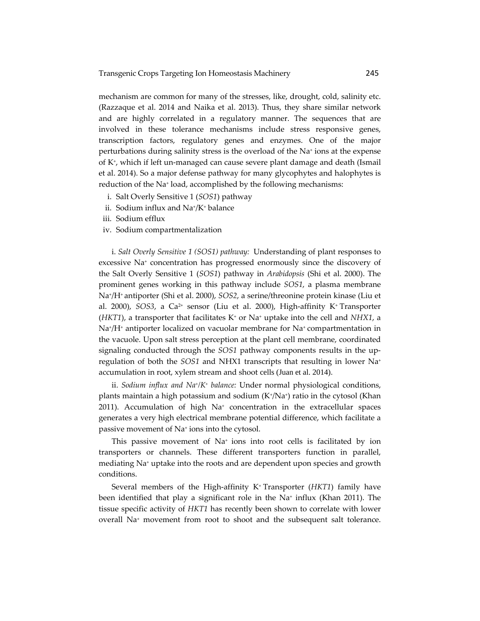mechanism are common for many of the stresses, like, drought, cold, salinity etc. (Razzaque et al. 2014 and Naika et al. 2013). Thus, they share similar network and are highly correlated in a regulatory manner. The sequences that are involved in these tolerance mechanisms include stress responsive genes, transcription factors, regulatory genes and enzymes. One of the major perturbations during salinity stress is the overload of the Na+ ions at the expense of K+, which if left un‐managed can cause severe plant damage and death (Ismail et al. 2014). So a major defense pathway for many glycophytes and halophytes is reduction of the Na+ load, accomplished by the following mechanisms:

- i. Salt Overly Sensitive 1 (*SOS1*) pathway
- ii. Sodium influx and Na+/K+ balance
- iii. Sodium efflux
- iv. Sodium compartmentalization

i. *Salt Overly Sensitive 1 (SOS1) pathway:* Understanding of plant responses to excessive Na+ concentration has progressed enormously since the discovery of the Salt Overly Sensitive 1 (*SOS1*) pathway in *Arabidopsis* (Shi et al. 2000). The prominent genes working in this pathway include *SOS1*, a plasma membrane Na+/H+ antiporter (Shi et al. 2000), *SOS2*, a serine/threonine protein kinase (Liu et al. 2000), *SOS3*, a Ca<sup>2+</sup> sensor (Liu et al. 2000), High-affinity K<sup>+</sup> Transporter  $(HKT1)$ , a transporter that facilitates  $K<sup>+</sup>$  or Na<sup>+</sup> uptake into the cell and *NHX1*, a Na+/H+ antiporter localized on vacuolar membrane for Na+ compartmentation in the vacuole. Upon salt stress perception at the plant cell membrane, coordinated signaling conducted through the *SOS1* pathway components results in the up‐ regulation of both the *SOS1* and NHX1 transcripts that resulting in lower Na+ accumulation in root, xylem stream and shoot cells (Juan et al. 2014).

ii. *Sodium influx and Na+/K+ balance:* Under normal physiological conditions, plants maintain a high potassium and sodium (K+/Na+) ratio in the cytosol (Khan  $2011$ ). Accumulation of high Na<sup>+</sup> concentration in the extracellular spaces generates a very high electrical membrane potential difference, which facilitate a passive movement of Na+ ions into the cytosol.

This passive movement of  $Na<sup>+</sup>$  ions into root cells is facilitated by ion transporters or channels. These different transporters function in parallel, mediating Na+ uptake into the roots and are dependent upon species and growth conditions.

Several members of the High-affinity K<sup>+</sup> Transporter (HKT1) family have been identified that play a significant role in the Na<sup>+</sup> influx (Khan 2011). The tissue specific activity of *HKT1* has recently been shown to correlate with lower overall Na+ movement from root to shoot and the subsequent salt tolerance.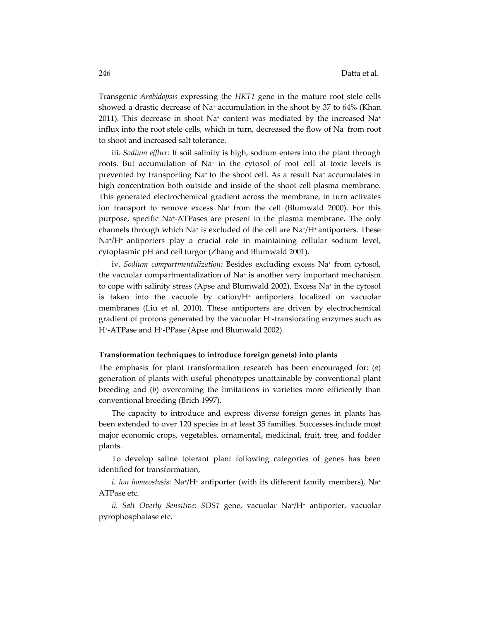Transgenic *Arabidopsis* expressing the *HKT1* gene in the mature root stele cells showed a drastic decrease of Na+ accumulation in the shoot by 37 to 64% (Khan 2011). This decrease in shoot  $Na^+$  content was mediated by the increased  $Na^+$ influx into the root stele cells, which in turn, decreased the flow of Na+ from root to shoot and increased salt tolerance.

iii. *Sodium efflux:* If soil salinity is high, sodium enters into the plant through roots. But accumulation of Na+ in the cytosol of root cell at toxic levels is prevented by transporting Na+ to the shoot cell. As a result Na+ accumulates in high concentration both outside and inside of the shoot cell plasma membrane. This generated electrochemical gradient across the membrane, in turn activates ion transport to remove excess Na+ from the cell (Blumwald 2000). For this purpose, specific Na+‐ATPases are present in the plasma membrane. The only channels through which  $Na^+$  is excluded of the cell are  $Na^+/H^+$  antiporters. These Na+/H+ antiporters play a crucial role in maintaining cellular sodium level, cytoplasmic pH and cell turgor (Zhang and Blumwald 2001).

iv. *Sodium compartmentalization:* Besides excluding excess Na+ from cytosol, the vacuolar compartmentalization of Na+ is another very important mechanism to cope with salinity stress (Apse and Blumwald 2002). Excess Na<sup>+</sup> in the cytosol is taken into the vacuole by cation/H+ antiporters localized on vacuolar membranes (Liu et al. 2010). These antiporters are driven by electrochemical gradient of protons generated by the vacuolar H<sup>+</sup>-translocating enzymes such as H+‐ATPase and H+‐PPase (Apse and Blumwald 2002).

#### **Transformation techniques to introduce foreign gene(s) into plants**

The emphasis for plant transformation research has been encouraged for: (*a*) generation of plants with useful phenotypes unattainable by conventional plant breeding and (*b*) overcoming the limitations in varieties more efficiently than conventional breeding (Brich 1997).

The capacity to introduce and express diverse foreign genes in plants has been extended to over 120 species in at least 35 families. Successes include most major economic crops, vegetables, ornamental, medicinal, fruit, tree, and fodder plants.

To develop saline tolerant plant following categories of genes has been identified for transformation,

*i. Ion homeostasis*: Na+/H+ antiporter (with its different family members), Na+ ATPase etc.

*ii. Salt Overly Sensitive*: *SOS1* gene, vacuolar Na+/H+ antiporter, vacuolar pyrophosphatase etc.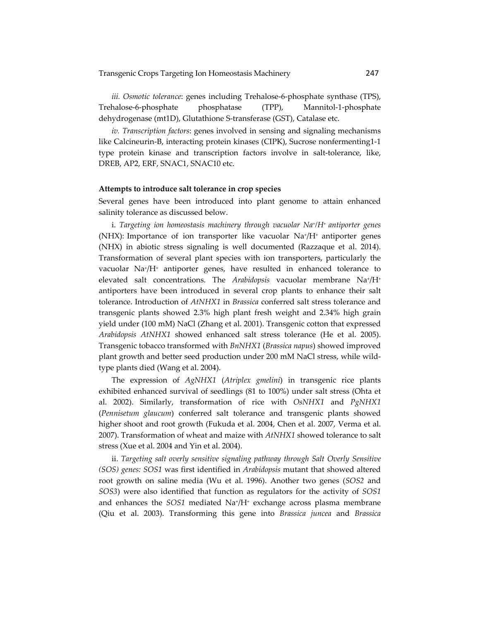*iii. Osmotic tolerance*: genes including Trehalose‐6‐phosphate synthase (TPS), Trehalose-6-phosphate phosphatase (TPP), Mannitol-1-phosphate dehydrogenase (mt1D), Glutathione S‐transferase (GST), Catalase etc.

*iv. Transcription factors*: genes involved in sensing and signaling mechanisms like Calcineurin-B, interacting protein kinases (CIPK), Sucrose nonfermenting1-1 type protein kinase and transcription factors involve in salt-tolerance, like, DREB, AP2, ERF, SNAC1, SNAC10 etc.

### **Attempts to introduce salt tolerance in crop species**

Several genes have been introduced into plant genome to attain enhanced salinity tolerance as discussed below.

i. *Targeting ion homeostasis machinery through vacuolar Na+/H+ antiporter genes* (NHX): Importance of ion transporter like vacuolar Na+/H+ antiporter genes (NHX) in abiotic stress signaling is well documented (Razzaque et al. 2014). Transformation of several plant species with ion transporters, particularly the vacuolar Na+/H+ antiporter genes, have resulted in enhanced tolerance to elevated salt concentrations. The *Arabidopsis* vacuolar membrane Na+/H+ antiporters have been introduced in several crop plants to enhance their salt tolerance. Introduction of *AtNHX1* in *Brassica* conferred salt stress tolerance and transgenic plants showed 2.3% high plant fresh weight and 2.34% high grain yield under (100 mM) NaCl (Zhang et al. 2001). Transgenic cotton that expressed *Arabidopsis AtNHX1* showed enhanced salt stress tolerance (He et al. 2005). Transgenic tobacco transformed with *BnNHX1* (*Brassica napus*) showed improved plant growth and better seed production under 200 mM NaCl stress, while wild‐ type plants died (Wang et al. 2004).

The expression of *AgNHX1* (*Atriplex gmelini*) in transgenic rice plants exhibited enhanced survival of seedlings (81 to 100%) under salt stress (Ohta et al. 2002). Similarly, transformation of rice with *OsNHX1* and *PgNHX1* (*Pennisetum glaucum*) conferred salt tolerance and transgenic plants showed higher shoot and root growth (Fukuda et al. 2004, Chen et al. 2007, Verma et al. 2007). Transformation of wheat and maize with *AtNHX1* showed tolerance to salt stress (Xue et al. 2004 and Yin et al. 2004).

ii. *Targeting salt overly sensitive signaling pathway through Salt Overly Sensitive (SOS) genes: SOS1* was first identified in *Arabidopsis* mutant that showed altered root growth on saline media (Wu et al. 1996). Another two genes (*SOS2* and *SOS3*) were also identified that function as regulators for the activity of *SOS1* and enhances the *SOS1* mediated Na<sup>+</sup>/H<sup>+</sup> exchange across plasma membrane (Qiu et al. 2003). Transforming this gene into *Brassica juncea* and *Brassica*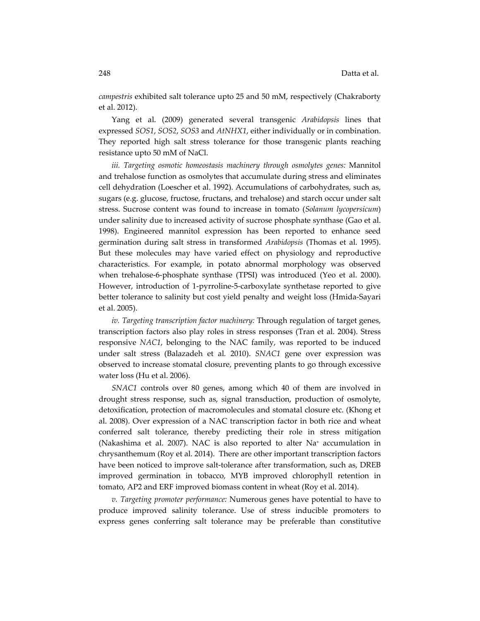*campestris* exhibited salt tolerance upto 25 and 50 mM, respectively (Chakraborty et al. 2012).

Yang et al. (2009) generated several transgenic *Arabidopsis* lines that expressed *SOS1*, *SOS2*, *SOS3* and *AtNHX1*, either individually or in combination. They reported high salt stress tolerance for those transgenic plants reaching resistance upto 50 mM of NaCl.

*iii. Targeting osmotic homeostasis machinery through osmolytes genes:* Mannitol and trehalose function as osmolytes that accumulate during stress and eliminates cell dehydration (Loescher et al. 1992). Accumulations of carbohydrates, such as, sugars (e.g. glucose, fructose, fructans, and trehalose) and starch occur under salt stress. Sucrose content was found to increase in tomato (*Solanum lycopersicum*) under salinity due to increased activity of sucrose phosphate synthase (Gao et al. 1998). Engineered mannitol expression has been reported to enhance seed germination during salt stress in transformed *Arabidopsis* (Thomas et al. 1995). But these molecules may have varied effect on physiology and reproductive characteristics. For example, in potato abnormal morphology was observed when trehalose-6-phosphate synthase (TPSI) was introduced (Yeo et al. 2000). However, introduction of 1‐pyrroline‐5‐carboxylate synthetase reported to give better tolerance to salinity but cost yield penalty and weight loss (Hmida‐Sayari et al. 2005).

*iv. Targeting transcription factor machinery:* Through regulation of target genes, transcription factors also play roles in stress responses (Tran et al. 2004). Stress responsive *NAC1*, belonging to the NAC family, was reported to be induced under salt stress (Balazadeh et al*.* 2010). *SNAC1* gene over expression was observed to increase stomatal closure, preventing plants to go through excessive water loss (Hu et al. 2006).

*SNAC1* controls over 80 genes, among which 40 of them are involved in drought stress response, such as, signal transduction, production of osmolyte, detoxification, protection of macromolecules and stomatal closure etc. (Khong et al. 2008). Over expression of a NAC transcription factor in both rice and wheat conferred salt tolerance, thereby predicting their role in stress mitigation (Nakashima et al. 2007). NAC is also reported to alter Na+ accumulation in chrysanthemum (Roy et al. 2014). There are other important transcription factors have been noticed to improve salt-tolerance after transformation, such as, DREB improved germination in tobacco, MYB improved chlorophyll retention in tomato, AP2 and ERF improved biomass content in wheat (Roy et al. 2014).

*v. Targeting promoter performance:* Numerous genes have potential to have to produce improved salinity tolerance. Use of stress inducible promoters to express genes conferring salt tolerance may be preferable than constitutive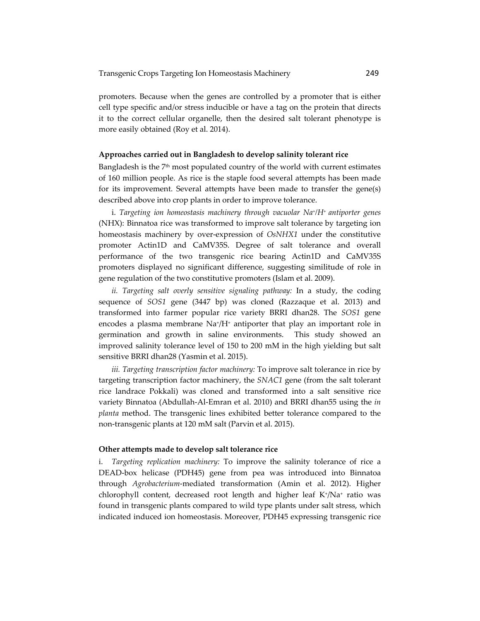promoters. Because when the genes are controlled by a promoter that is either cell type specific and/or stress inducible or have a tag on the protein that directs it to the correct cellular organelle, then the desired salt tolerant phenotype is more easily obtained (Roy et al. 2014).

#### **Approaches carried out in Bangladesh to develop salinity tolerant rice**

Bangladesh is the  $7<sup>th</sup>$  most populated country of the world with current estimates of 160 million people. As rice is the staple food several attempts has been made for its improvement. Several attempts have been made to transfer the gene(s) described above into crop plants in order to improve tolerance.

i. *Targeting ion homeostasis machinery through vacuolar Na+/H+ antiporter genes* (NHX): Binnatoa rice was transformed to improve salt tolerance by targeting ion homeostasis machinery by over‐expression of *OsNHX1* under the constitutive promoter Actin1D and CaMV35S. Degree of salt tolerance and overall performance of the two transgenic rice bearing Actin1D and CaMV35S promoters displayed no significant difference, suggesting similitude of role in gene regulation of the two constitutive promoters (Islam et al. 2009).

*ii. Targeting salt overly sensitive signaling pathway:* In a study, the coding sequence of *SOS1* gene (3447 bp) was cloned (Razzaque et al. 2013) and transformed into farmer popular rice variety BRRI dhan28. The *SOS1* gene encodes a plasma membrane  $\text{Na}^+\text{/}H^+$  antiporter that play an important role in germination and growth in saline environments. This study showed an improved salinity tolerance level of 150 to 200 mM in the high yielding but salt sensitive BRRI dhan28 (Yasmin et al. 2015).

*iii. Targeting transcription factor machinery:* To improve salt tolerance in rice by targeting transcription factor machinery, the *SNAC1* gene (from the salt tolerant rice landrace Pokkali) was cloned and transformed into a salt sensitive rice variety Binnatoa (Abdullah‐Al‐Emran et al. 2010) and BRRI dhan55 using the *in planta* method. The transgenic lines exhibited better tolerance compared to the non‐transgenic plants at 120 mM salt (Parvin et al. 2015).

### **Other attempts made to develop salt tolerance rice**

i. *Targeting replication machinery:* To improve the salinity tolerance of rice a DEAD‐box helicase (PDH45) gene from pea was introduced into Binnatoa through *Agrobacterium*‐mediated transformation (Amin et al. 2012). Higher chlorophyll content, decreased root length and higher leaf  $K^*/Na^+$  ratio was found in transgenic plants compared to wild type plants under salt stress, which indicated induced ion homeostasis. Moreover, PDH45 expressing transgenic rice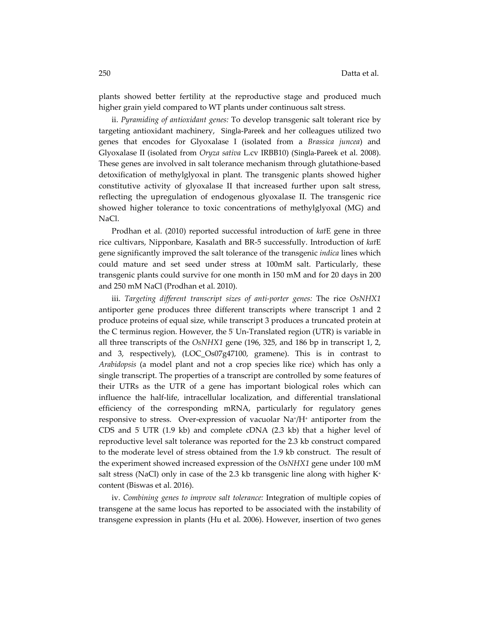plants showed better fertility at the reproductive stage and produced much higher grain yield compared to WT plants under continuous salt stress.

ii. *Pyramiding of antioxidant genes:* To develop transgenic salt tolerant rice by targeting antioxidant machinery, Singla-Pareek and her colleagues utilized two genes that encodes for Glyoxalase I (isolated from a *Brassica juncea*) and Glyoxalase II (isolated from *Oryza sativa* L.cv IRBB10) (Singla-Pareek et al. 2008). These genes are involved in salt tolerance mechanism through glutathione‐based detoxification of methylglyoxal in plant. The transgenic plants showed higher constitutive activity of glyoxalase II that increased further upon salt stress, reflecting the upregulation of endogenous glyoxalase II. The transgenic rice showed higher tolerance to toxic concentrations of methylglyoxal (MG) and NaCl.

Prodhan et al. (2010) reported successful introduction of *kat*E gene in three rice cultivars, Nipponbare, Kasalath and BR‐5 successfully. Introduction of *kat*E gene significantly improved the salt tolerance of the transgenic *indica* lines which could mature and set seed under stress at 100mM salt. Particularly, these transgenic plants could survive for one month in 150 mM and for 20 days in 200 and 250 mM NaCl (Prodhan et al. 2010).

iii. *Targeting different transcript sizes of anti‐porter genes:* The rice *OsNHX1* antiporter gene produces three different transcripts where transcript 1 and 2 produce proteins of equal size, while transcript 3 produces a truncated protein at the C terminus region. However, the 5<sup>ʹ</sup> Un‐Translated region (UTR) is variable in all three transcripts of the *OsNHX1* gene (196, 325, and 186 bp in transcript 1, 2, and 3, respectively), (LOC\_Os07g47100, gramene). This is in contrast to *Arabidopsis* (a model plant and not a crop species like rice) which has only a single transcript. The properties of a transcript are controlled by some features of their UTRs as the UTR of a gene has important biological roles which can influence the half‐life, intracellular localization, and differential translational efficiency of the corresponding mRNA, particularly for regulatory genes responsive to stress. Over-expression of vacuolar Na<sup>+</sup>/H<sup>+</sup> antiporter from the CDS and 5<sup>ʹ</sup> UTR (1.9 kb) and complete cDNA (2.3 kb) that a higher level of reproductive level salt tolerance was reported for the 2.3 kb construct compared to the moderate level of stress obtained from the 1.9 kb construct. The result of the experiment showed increased expression of the *OsNHX1* gene under 100 mM salt stress (NaCl) only in case of the 2.3 kb transgenic line along with higher  $K^+$ content (Biswas et al. 2016).

iv. *Combining genes to improve salt tolerance:* Integration of multiple copies of transgene at the same locus has reported to be associated with the instability of transgene expression in plants (Hu et al. 2006). However, insertion of two genes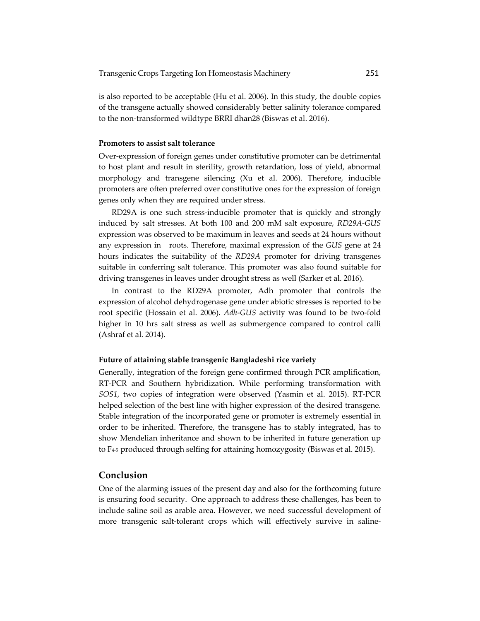is also reported to be acceptable (Hu et al. 2006). In this study, the double copies of the transgene actually showed considerably better salinity tolerance compared to the non‐transformed wildtype BRRI dhan28 (Biswas et al. 2016).

# **Promoters to assist salt tolerance**

Over‐expression of foreign genes under constitutive promoter can be detrimental to host plant and result in sterility, growth retardation, loss of yield, abnormal morphology and transgene silencing (Xu et al. 2006). Therefore, inducible promoters are often preferred over constitutive ones for the expression of foreign genes only when they are required under stress.

RD29A is one such stress‐inducible promoter that is quickly and strongly induced by salt stresses. At both 100 and 200 mM salt exposure, *RD29A*‐*GUS* expression was observed to be maximum in leaves and seeds at 24 hours without any expression in roots. Therefore, maximal expression of the *GUS* gene at 24 hours indicates the suitability of the *RD29A* promoter for driving transgenes suitable in conferring salt tolerance. This promoter was also found suitable for driving transgenes in leaves under drought stress as well (Sarker et al. 2016).

In contrast to the RD29A promoter, Adh promoter that controls the expression of alcohol dehydrogenase gene under abiotic stresses is reported to be root specific (Hossain et al. 2006). *Adh*-*GUS* activity was found to be two-fold higher in 10 hrs salt stress as well as submergence compared to control calli (Ashraf et al. 2014).

#### **Future of attaining stable transgenic Bangladeshi rice variety**

Generally, integration of the foreign gene confirmed through PCR amplification, RT‐PCR and Southern hybridization. While performing transformation with *SOS1*, two copies of integration were observed (Yasmin et al. 2015). RT‐PCR helped selection of the best line with higher expression of the desired transgene. Stable integration of the incorporated gene or promoter is extremely essential in order to be inherited. Therefore, the transgene has to stably integrated, has to show Mendelian inheritance and shown to be inherited in future generation up to F4‐<sup>5</sup> produced through selfing for attaining homozygosity (Biswas et al. 2015).

# **Conclusion**

One of the alarming issues of the present day and also for the forthcoming future is ensuring food security. One approach to address these challenges, has been to include saline soil as arable area. However, we need successful development of more transgenic salt-tolerant crops which will effectively survive in saline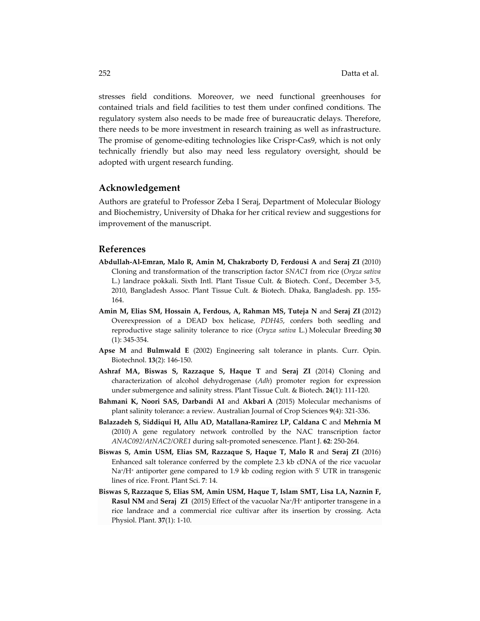stresses field conditions. Moreover, we need functional greenhouses for contained trials and field facilities to test them under confined conditions. The regulatory system also needs to be made free of bureaucratic delays. Therefore, there needs to be more investment in research training as well as infrastructure. The promise of genome‐editing technologies like Crispr‐Cas9, which is not only technically friendly but also may need less regulatory oversight, should be adopted with urgent research funding.

# **Acknowledgement**

Authors are grateful to Professor Zeba I Seraj, Department of Molecular Biology and Biochemistry, University of Dhaka for her critical review and suggestions for improvement of the manuscript.

# **References**

- **Abdullah‐Al‐Emran, Malo R, Amin M, Chakraborty D, Ferdousi A** and **Seraj ZI** (2010) Cloning and transformation of the transcription factor *SNAC1* from rice (*Oryza sativa* L.) landrace pokkali. Sixth Intl. Plant Tissue Cult. & Biotech. Conf., December 3‐5, 2010, Bangladesh Assoc. Plant Tissue Cult. & Biotech. Dhaka, Bangladesh. pp. 155‐ 164.
- **Amin M, Elias SM, Hossain A, Ferdous, A, Rahman MS, Tuteja N** and **Seraj ZI** (2012) Overexpression of a DEAD box helicase, *PDH45*, confers both seedling and reproductive stage salinity tolerance to rice (*Oryza sativa* L.) Molecular Breeding **30** (1): 345‐354.
- **Apse M** and **Bulmwald E** (2002) Engineering salt tolerance in plants. Curr. Opin. Biotechnol. **13**(2): 146‐150.
- **Ashraf MA, Biswas S, Razzaque S, Haque T** and **Seraj ZI** (2014) Cloning and characterization of alcohol dehydrogenase (*Adh*) promoter region for expression under submergence and salinity stress. Plant Tissue Cult. & Biotech. **24**(1): 111‐120.
- **Bahmani K, Noori SAS, Darbandi AI** and **Akbari A** (2015) Molecular mechanisms of plant salinity tolerance: a review. Australian Journal of Crop Sciences **9**(4): 321‐336.
- **Balazadeh S, Siddiqui H, Allu AD, Matallana‐Ramirez LP, Caldana C** and **Mehrnia M** (2010) A gene regulatory network controlled by the NAC transcription factor *ANAC092/AtNAC2/ORE1* during salt‐promoted senescence. Plant J. **62**: 250‐264.
- **Biswas S, Amin USM, Elias SM, Razzaque S, Haque T, Malo R** and **Seraj ZI** (2016) Enhanced salt tolerance conferred by the complete 2.3 kb cDNA of the rice vacuolar Na<sup>+</sup>/H<sup>+</sup> antiporter gene compared to 1.9 kb coding region with 5<sup>'</sup> UTR in transgenic lines of rice. Front. Plant Sci. **7**: 14.
- **Biswas S, Razzaque S, Elias SM, Amin USM, Haque T, Islam SMT, Lisa LA, Naznin F, Rasul NM** and **Seraj ZI** (2015) Effect of the vacuolar Na+/H+ antiporter transgene in a rice landrace and a commercial rice cultivar after its insertion by crossing. Acta Physiol. Plant. **37**(1): 1‐10.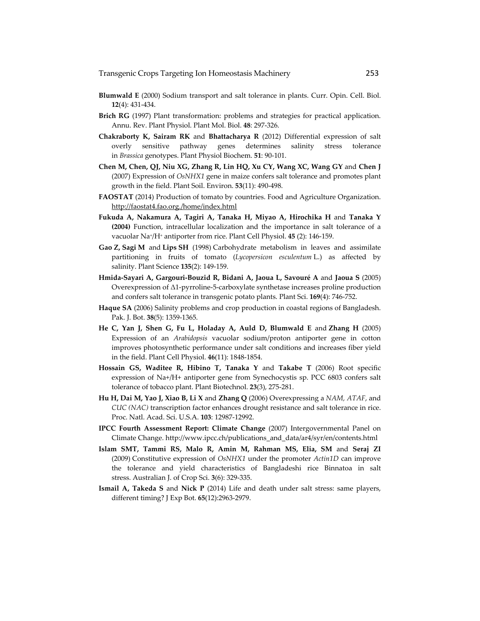- **Blumwald E** (2000) Sodium transport and salt tolerance in plants. Curr. Opin. Cell. Biol. **12**(4): 431‐434.
- **Brich RG** (1997) Plant transformation: problems and strategies for practical application. Annu. Rev. Plant Physiol. Plant Mol. Biol. **48**: 297‐326.
- **Chakraborty K, Sairam RK** and **Bhattacharya R** (2012) Differential expression of salt overly sensitive pathway genes determines salinity stress tolerance in *Brassica* genotypes. Plant Physiol Biochem. **51**: 90‐101.
- **Chen M, Chen, QJ, Niu XG, Zhang R, Lin HQ, Xu CY, Wang XC, Wang GY** and **Chen J** (2007) Expression of *OsNHX1* gene in maize confers salt tolerance and promotes plant growth in the field. Plant Soil. Environ. **53**(11): 490‐498.
- **FAOSTAT** (2014) Production of tomato by countries. Food and Agriculture Organization. http://faostat4.fao.org./home/index.html
- **Fukuda A, Nakamura A, Tagiri A, Tanaka H, Miyao A, Hirochika H** and **Tanaka Y (2004)** Function, intracellular localization and the importance in salt tolerance of a vacuolar Na+/H+ antiporter from rice. Plant Cell Physiol. **45** (2): 146‐159.
- **Gao Z, Sagi M** and **Lips SH** (1998) Carbohydrate metabolism in leaves and assimilate partitioning in fruits of tomato (*Lycopersicon esculentum* L.) as affected by salinity. Plant Science **135**(2): 149‐159.
- **Hmida‐Sayari A, Gargouri‐Bouzid R, Bidani A, Jaoua L, Savouré A** and **Jaoua S** (2005) Overexpression of Δ1‐pyrroline‐5‐carboxylate synthetase increases proline production and confers salt tolerance in transgenic potato plants. Plant Sci. **169**(4): 746‐752.
- **Haque SA** (2006) Salinity problems and crop production in coastal regions of Bangladesh. Pak. J. Bot. **38**(5): 1359‐1365.
- **He C, Yan J, Shen G, Fu L, Holaday A, Auld D, Blumwald E** and **Zhang H** (2005) Expression of an *Arabidopsis* vacuolar sodium/proton antiporter gene in cotton improves photosynthetic performance under salt conditions and increases fiber yield in the field. Plant Cell Physiol. **46**(11): 1848‐1854.
- **Hossain GS, Waditee R, Hibino T, Tanaka Y** and **Takabe T** (2006) Root specific expression of Na+/H+ antiporter gene from Synechocystis sp. PCC 6803 confers salt tolerance of tobacco plant. Plant Biotechnol. **23**(3), 275‐281.
- **Hu H, Dai M, Yao J, Xiao B, Li X** and **Zhang Q** (2006) Overexpressing a *NAM, ATAF*, and *CUC (NAC)* transcription factor enhances drought resistance and salt tolerance in rice. Proc. Natl. Acad. Sci. U.S.A. **103**: 12987‐12992.
- **IPCC Fourth Assessment Report: Climate Change** (2007) Intergovernmental Panel on Climate Change. http://www.ipcc.ch/publications\_and\_data/ar4/syr/en/contents.html
- **Islam SMT, Tammi RS, Malo R, Amin M, Rahman MS, Elia, SM** and **Seraj ZI** (2009) Constitutive expression of *OsNHX1* under the promoter *Actin1D* can improve the tolerance and yield characteristics of Bangladeshi rice Binnatoa in salt stress. Australian J. of Crop Sci. **3**(6): 329‐335.
- **Ismail A, Takeda S** and **Nick P** (2014) Life and death under salt stress: same players, different timing? J Exp Bot. **65**(12):2963‐2979.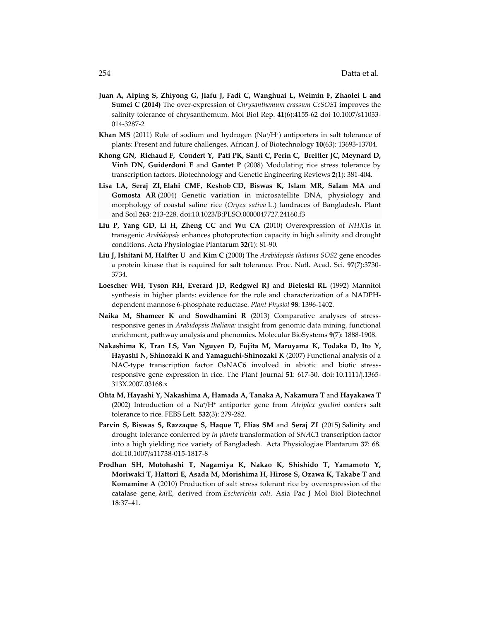- Juan A, Aiping S, Zhiyong G, Jiafu J, Fadi C, Wanghuai L, Weimin F, Zhaolei L and **Sumei C (2014)** The over‐expression of *Chrysanthemum crassum CcSOS1* improves the salinity tolerance of chrysanthemum. Mol Biol Rep. **41**(6):4155‐62 doi 10.1007/s11033‐ 014‐3287‐2
- **Khan MS** (2011) Role of sodium and hydrogen (Na<sup>+</sup>/H<sup>+</sup>) antiporters in salt tolerance of plants: Present and future challenges. African J. of Biotechnology **10**(63): 13693‐13704.
- Khong GN, Richaud F, Coudert Y, Pati PK, Santi C, Perin C, Breitler JC, Meynard D, **Vinh DN, Guiderdoni E** and **Gantet P** (2008) Modulating rice stress tolerance by transcription factors. Biotechnology and Genetic Engineering Reviews **2**(1): 381‐404.
- **Lisa LA, Seraj ZI, Elahi CMF, Keshob CD, Biswas K, Islam MR, Salam MA** and **Gomosta AR** (2004) Genetic variation in microsatellite DNA, physiology and morphology of coastal saline rice (*Oryza sativa* L.) landraces of Bangladesh**.** Plant and Soil **263**: 213‐228. doi:10.1023/B:PLSO.0000047727.24160.f3
- **Liu P, Yang GD, Li H, Zheng CC** and **Wu CA** (2010) Overexpression of *NHX1*s in transgenic *Arabidopsis* enhances photoprotection capacity in high salinity and drought conditions. Acta Physiologiae Plantarum **32**(1): 81‐90.
- **Liu J, Ishitani M, Halfter U** and **Kim C** (2000) The *Arabidopsis thaliana SOS2* gene encodes a protein kinase that is required for salt tolerance. Proc. Natl. Acad. Sci. **97**(7):3730‐ 3734.
- **Loescher WH, Tyson RH, Everard JD, Redgwel RJ** and **Bieleski RL** (1992) Mannitol synthesis in higher plants: evidence for the role and characterization of a NADPH‐ dependent mannose 6‐phosphate reductase. *Plant Physiol* **98**: 1396‐1402.
- **Naika M, Shameer K** and **Sowdhamini R** (2013) Comparative analyses of stress‐ responsive genes in *Arabidopsis thaliana:* insight from genomic data mining, functional enrichment, pathway analysis and phenomics. Molecular BioSystems **9**(7): 1888‐1908.
- **Nakashima K, Tran LS, Van Nguyen D, Fujita M, Maruyama K, Todaka D, Ito Y, Hayashi N, Shinozaki K** and **Yamaguchi‐Shinozaki K** (2007) Functional analysis of a NAC-type transcription factor OsNAC6 involved in abiotic and biotic stressresponsive gene expression in rice. The Plant Journal **51**: 617‐30. doi**:** 10.1111/j.1365‐ 313X.2007.03168.x
- **Ohta M, Hayashi Y, Nakashima A, Hamada A, Tanaka A, Nakamura T** and **Hayakawa T** (2002) Introduction of a Na+/H+ antiporter gene from *Atriplex gmelini* confers salt tolerance to rice. FEBS Lett. **532**(3): 279‐282.
- **Parvin S, Biswas S, Razzaque S, Haque T, Elias SM** and **Seraj ZI** (2015) Salinity and drought tolerance conferred by *in planta* transformation of *SNAC1* transcription factor into a high yielding rice variety of Bangladesh. Acta Physiologiae Plantarum **37**: 68. doi:10.1007/s11738‐015‐1817‐8
- **Prodhan SH, Motohashi T, Nagamiya K, Nakao K, Shishido T, Yamamoto Y, Moriwaki T, Hattori E, Asada M, Morishima H, Hirose S, Ozawa K, Takabe T** and **Komamine A** (2010) Production of salt stress tolerant rice by overexpression of the catalase gene, *kat*E, derived from *Escherichia coli*. Asia Pac J Mol Biol Biotechnol **18**:37–41.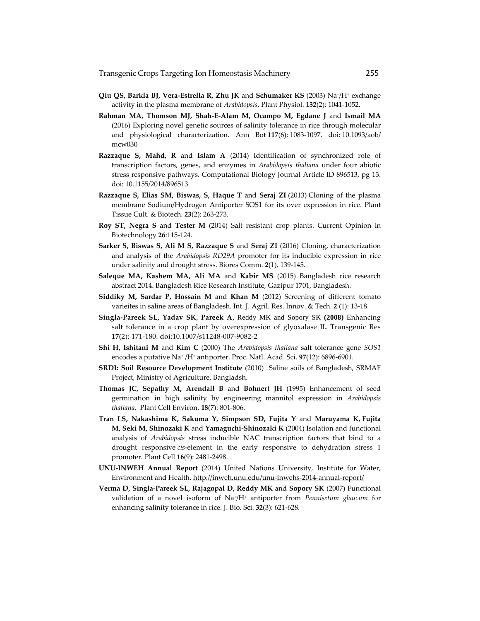- **Qiu QS, Barkla BJ, Vera‐Estrella R, Zhu JK** and **Schumaker KS** (2003) Na+/H+ exchange activity in the plasma membrane of *Arabidopsis*. Plant Physiol. **132**(2): 1041‐1052.
- **Rahman MA, Thomson MJ, Shah‐E‐Alam M, Ocampo M, Egdane J** and **Ismail MA** (2016) Exploring novel genetic sources of salinity tolerance in rice through molecular and physiological characterization. Ann Bot **117**(6): 1083‐1097. doi: 10.1093/aob/ mcw030
- **Razzaque S, Mahd, R** and **Islam A** (2014) Identification of synchronized role of transcription factors, genes, and enzymes in *Arabidopsis thaliana* under four abiotic stress responsive pathways. Computational Biology Journal Article ID 896513, pg 13. doi: 10.1155/2014/896513
- **Razzaque S, Elias SM, Biswas, S, Haque T** and **Seraj ZI** (2013) Cloning of the plasma membrane Sodium/Hydrogen Antiporter SOS1 for its over expression in rice. Plant Tissue Cult. & Biotech. **23**(2): 263‐273.
- **Roy ST, Negra S** and **Tester M** (2014) Salt resistant crop plants. Current Opinion in Biotechnology **26**:115‐124.
- **Sarker S, Biswas S, Ali M S, Razzaque S** and **Seraj ZI** (2016) Cloning, characterization and analysis of the *Arabidopsis RD29A* promoter for its inducible expression in rice under salinity and drought stress. Biores Comm. **2**(1), 139‐145.
- **Saleque MA, Kashem MA, Ali MA** and **Kabir MS** (2015) Bangladesh rice research abstract 2014. Bangladesh Rice Research Institute, Gazipur 1701, Bangladesh.
- **Siddiky M, Sardar P, Hossain M** and **Khan M** (2012) Screening of different tomato varieites in saline areas of Bangladesh. Int. J. Agril. Res. Innov. & Tech. **2** (1): 13‐18.
- **Singla‐Pareek SL, Yadav SK**, **Pareek A**, Reddy MK and Sopory SK **(2008)** Enhancing salt tolerance in a crop plant by overexpression of glyoxalase II**.** Transgenic Res **17**(2): 171‐180. doi:10.1007/s11248‐007‐9082‐2
- **Shi H, Ishitani M** and **Kim C** (2000) The *Arabidopsis thaliana* salt tolerance gene *SOS1* encodes a putative Na+ /H+ antiporter. Proc. Natl. Acad. Sci. **97**(12): 6896‐6901.
- **SRDI: Soil Resource Development Institute** (2010) Saline soils of Bangladesh, SRMAF Project, Ministry of Agriculture, Bangladsh.
- **Thomas JC, Sepathy M, Arendall B** and **Bohnert JH** (1995) Enhancement of seed germination in high salinity by engineering mannitol expression in *Arabidopsis thaliana*. Plant Cell Environ. **18**(7): 801‐806.
- **Tran LS, Nakashima K, Sakuma Y, Simpson SD, Fujita Y** and **Maruyama K, Fujita M, Seki M, Shinozaki K** and **Yamaguchi‐Shinozaki K** (2004) Isolation and functional analysis of *Arabidopsis* stress inducible NAC transcription factors that bind to a drought responsive *cis*-element in the early responsive to dehydration stress 1 promoter. Plant Cell **16**(9): 2481‐2498.
- **UNU‐INWEH Annual Report** (2014) United Nations University*,* Institute for Water, Environment and Health. http://inweh.unu.edu/unu-inwehs-2014-annual-report/
- **Verma D, Singla‐Pareek SL, Rajagopal D, Reddy MK** and **Sopory SK** (2007) Functional validation of a novel isoform of Na+/H+ antiporter from *Pennisetum glaucum* for enhancing salinity tolerance in rice. J. Bio. Sci. **32**(3): 621‐628.